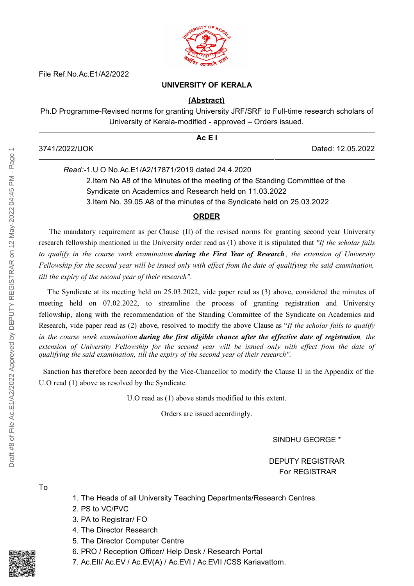

File Ref.No.Ac.E1/A2/2022

## **UNIVERSITY OF KERALA**

## **(Abstract)**

Ph.D Programme-Revised norms for granting University JRF/SRF to Full-time research scholars of University of Kerala-modified - approved – Orders issued.

|               | AcE1              |
|---------------|-------------------|
| 3741/2022/UOK | Dated: 12.05.2022 |

*Read:-*1.U O No.Ac.E1/A2/17871/2019 dated 24.4.2020 2.Item No A8 of the Minutes of the meeting of the Standing Committee of the Syndicate on Academics and Research held on 11.03.2022 3.Item No. 39.05.A8 of the minutes of the Syndicate held on 25.03.2022

## **ORDER**

The mandatory requirement as per Clause (II) of the revised norms for granting second year University research fellowship mentioned in the University order read as (1) above it is stipulated that *"If the scholar fails* to qualify in the course work examination during the First Year of Research, the extension of University Fellowship for the second year will be issued only with effect from the date of qualifying the said examination, *till the expiry of the second year of their research"*.

The Syndicate at its meeting held on 25.03.2022, vide paper read as (3) above, considered the minutes of meeting held on 07.02.2022, to streamline the process of granting registration and University fellowship, along with the recommendation of the Standing Committee of the Syndicate on Academics and Research, vide paper read as (2) above, resolved to modify the above Clause as "*If the scholar fails to qualify* in the course work examination during the first eligible chance after the effective date of registration, the extension of University Fellowship for the second year will be issued only with effect from the date of *qualifying the said examination, till the expiry of the second year of their research".*

Sanction has therefore been accorded by the Vice-Chancellor to modify the Clause II in the Appendix of the U.O read (1) above as resolved by the Syndicate.

U.O read as (1) above stands modified to this extent.

Orders are issued accordingly.

SINDHU GEORGE \*

DEPUTY REGISTRAR For REGISTRAR

To

- 1. The Heads of all University Teaching Departments/Research Centres.
- 2. PS to VC/PVC
- 3. PA to Registrar/ FO
- 4. The Director Research
- 5. The Director Computer Centre
- 6. PRO / Reception Officer/ Help Desk / Research Portal
- 7. Ac.EII/ Ac.EV / Ac.EV(A) / Ac.EVI / Ac.EVII /CSS Kariavattom.